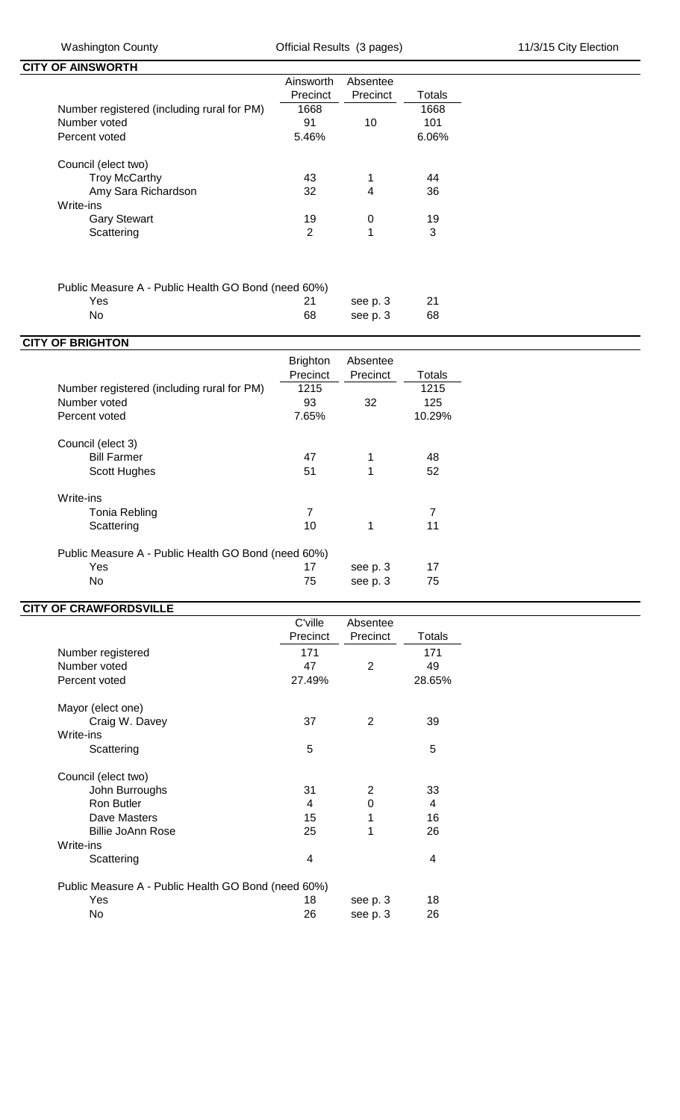**CITY OF AINSWORTH** 

|                                            | Ainsworth | Absentee |        |
|--------------------------------------------|-----------|----------|--------|
|                                            | Precinct  | Precinct | Totals |
| Number registered (including rural for PM) | 1668      |          | 1668   |
| Number voted                               | 91        | 10       | 101    |
| Percent voted                              | 5.46%     |          | 6.06%  |
| Council (elect two)                        |           |          |        |
| <b>Troy McCarthy</b>                       | 43        | 1        | 44     |
| Amy Sara Richardson                        | 32        | 4        | 36     |
| Write-ins                                  |           |          |        |
| <b>Gary Stewart</b>                        | 19        | 0        | 19     |
| Scattering                                 | 2         |          | 3      |
|                                            |           |          |        |

## Public Measure A - Public Health GO Bond (need 60%)

Yes 21 see p. 3 21 See p. 3 21 No 21 See p. 3 21 No 21 See p. 3 21 See p. 3 21 see p. 3 68

| <b>CITY OF BRIGHTON</b>                             |                             |                      |                |
|-----------------------------------------------------|-----------------------------|----------------------|----------------|
|                                                     | <b>Brighton</b><br>Precinct | Absentee<br>Precinct | Totals         |
| Number registered (including rural for PM)          | 1215                        |                      | 1215           |
| Number voted                                        | 93                          | 32                   | 125            |
| Percent voted                                       | 7.65%                       |                      | 10.29%         |
| Council (elect 3)                                   |                             |                      |                |
| <b>Bill Farmer</b>                                  | 47                          | 1                    | 48             |
| Scott Hughes                                        | 51                          | 1                    | 52             |
| Write-ins                                           |                             |                      |                |
| Tonia Rebling                                       | $\overline{7}$              |                      | $\overline{7}$ |
| Scattering                                          | 10                          | 1                    | 11             |
| Public Measure A - Public Health GO Bond (need 60%) |                             |                      |                |
| Yes                                                 | 17                          | see p. 3             | 17             |
| No                                                  | 75                          | see p. 3             | 75             |
|                                                     |                             |                      |                |

## **CITY OF CRAWFORDSVILLE**

|                                                     | C'ville  | Absentee |        |
|-----------------------------------------------------|----------|----------|--------|
|                                                     | Precinct | Precinct | Totals |
| Number registered                                   | 171      |          | 171    |
| Number voted                                        | 47       | 2        | 49     |
| Percent voted                                       | 27.49%   |          | 28.65% |
| Mayor (elect one)                                   |          |          |        |
| Craig W. Davey                                      | 37       | 2        | 39     |
| Write-ins                                           |          |          |        |
| Scattering                                          | 5        |          | 5      |
| Council (elect two)                                 |          |          |        |
| John Burroughs                                      | 31       | 2        | 33     |
| <b>Ron Butler</b>                                   | 4        | 0        | 4      |
| Dave Masters                                        | 15       | 1        | 16     |
| Billie JoAnn Rose                                   | 25       | 1        | 26     |
| Write-ins                                           |          |          |        |
| Scattering                                          | 4        |          | 4      |
| Public Measure A - Public Health GO Bond (need 60%) |          |          |        |
| Yes                                                 | 18       | see p. 3 | 18     |
| No                                                  | 26       | see p. 3 | 26     |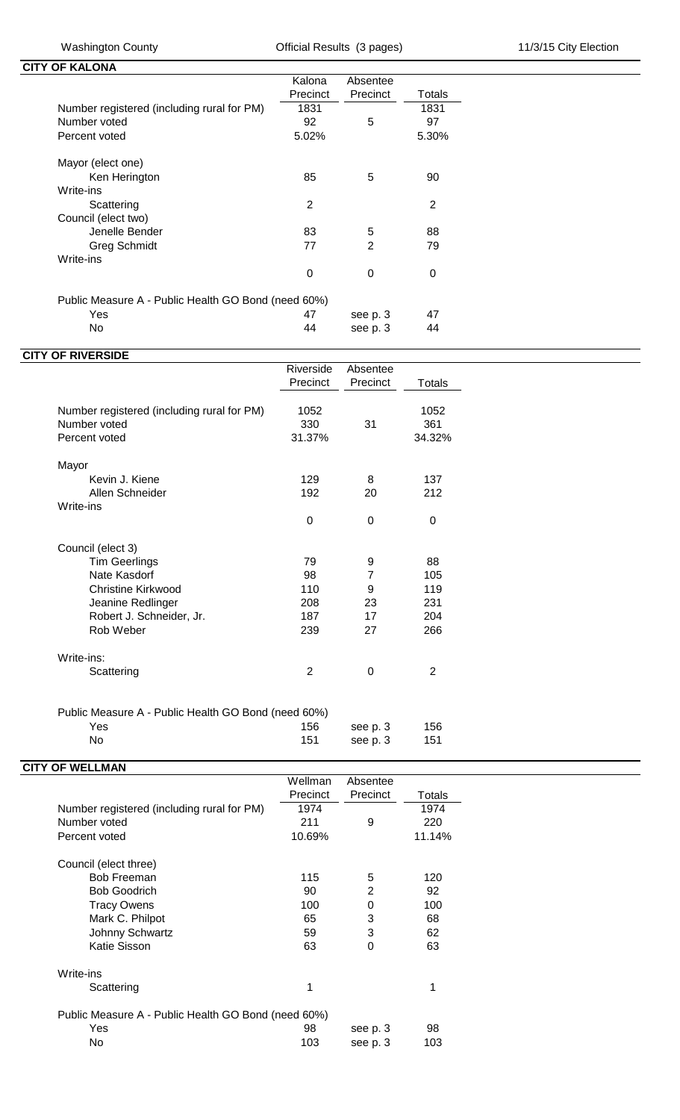| <b>CITY OF KALONA</b>                               |              |          |                |
|-----------------------------------------------------|--------------|----------|----------------|
|                                                     | Kalona       | Absentee |                |
|                                                     | Precinct     | Precinct | Totals         |
| Number registered (including rural for PM)          | 1831         |          | 1831           |
| Number voted                                        | 92           | 5        | 97             |
| Percent voted                                       | 5.02%        |          | 5.30%          |
| Mayor (elect one)                                   |              |          |                |
| Ken Herington                                       | 85           | 5        | 90             |
| Write-ins                                           |              |          |                |
| Scattering                                          | $\mathbf{2}$ |          | $\overline{2}$ |
| Council (elect two)                                 |              |          |                |
| Jenelle Bender                                      | 83           | 5        | 88             |
| <b>Greg Schmidt</b>                                 | 77           | 2        | 79             |
| Write-ins                                           |              |          |                |
|                                                     | 0            | $\Omega$ | 0              |
| Public Measure A - Public Health GO Bond (need 60%) |              |          |                |
| Yes                                                 | 47           | see p. 3 | 47             |
| No                                                  | 44           | see p. 3 | 44             |
|                                                     |              |          |                |

| Precinct<br>1052<br>330<br>31.37%<br>129<br>192<br>$\Omega$ | Precinct<br>31<br>8<br>20<br>0 | <b>Totals</b><br>1052<br>361<br>34.32%<br>137<br>212<br>0 |
|-------------------------------------------------------------|--------------------------------|-----------------------------------------------------------|
|                                                             |                                |                                                           |
|                                                             |                                |                                                           |
|                                                             |                                |                                                           |
|                                                             |                                |                                                           |
|                                                             |                                |                                                           |
|                                                             |                                |                                                           |
|                                                             |                                |                                                           |
|                                                             |                                |                                                           |
|                                                             |                                |                                                           |
|                                                             |                                |                                                           |
| 79                                                          | 9                              | 88                                                        |
| 98                                                          | $\overline{7}$                 | 105                                                       |
| 110                                                         | 9                              | 119                                                       |
| 208                                                         | 23                             | 231                                                       |
| 187                                                         | 17                             | 204                                                       |
| 239                                                         | 27                             | 266                                                       |
|                                                             |                                |                                                           |
| $\overline{2}$                                              | 0                              | 2                                                         |
|                                                             |                                | Public Measure A - Public Health GO Bond (need 60%)       |

|      | $\sim$ 0.000 0.000 0.000 0.000 0.000 0.000 0.000 0.000 0.000 0.000 0.000 0.000 0.000 0.000 0.000 0.000 0.000 0.000 0.000 0.000 0.000 0.000 0.000 0.000 0.000 0.000 0.000 0.000 0.000 0.000 0.000 0.000 0.000 0.000 0.000 0.000 |     |                |     |
|------|--------------------------------------------------------------------------------------------------------------------------------------------------------------------------------------------------------------------------------|-----|----------------|-----|
| Yes. |                                                                                                                                                                                                                                |     | 156 see p.3    | 156 |
| No.  |                                                                                                                                                                                                                                | 151 | see p. 3   151 |     |
|      |                                                                                                                                                                                                                                |     |                |     |

| <b>CITY OF WELLMAN</b>                              | Wellman  | Absentee |        |
|-----------------------------------------------------|----------|----------|--------|
|                                                     |          |          |        |
|                                                     | Precinct | Precinct | Totals |
| Number registered (including rural for PM)          | 1974     |          | 1974   |
| Number voted                                        | 211      | 9        | 220    |
| Percent voted                                       | 10.69%   |          | 11.14% |
| Council (elect three)                               |          |          |        |
| <b>Bob Freeman</b>                                  | 115      | 5        | 120    |
| <b>Bob Goodrich</b>                                 | 90       | 2        | 92     |
| <b>Tracy Owens</b>                                  | 100      | 0        | 100    |
| Mark C. Philpot                                     | 65       | 3        | 68     |
| Johnny Schwartz                                     | 59       | 3        | 62     |
| Katie Sisson                                        | 63       | 0        | 63     |
| Write-ins                                           |          |          |        |
| Scattering                                          | 1        |          | 1      |
| Public Measure A - Public Health GO Bond (need 60%) |          |          |        |
| Yes                                                 | 98       | see p. 3 | 98     |
| No                                                  | 103      | see p. 3 | 103    |
|                                                     |          |          |        |